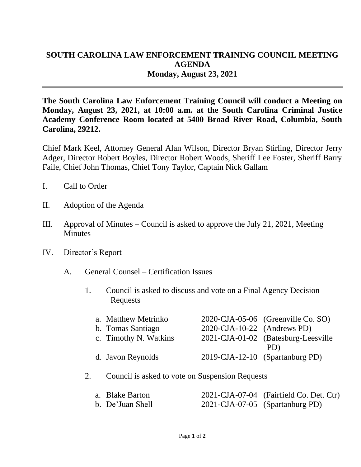## **SOUTH CAROLINA LAW ENFORCEMENT TRAINING COUNCIL MEETING AGENDA Monday, August 23, 2021**

**The South Carolina Law Enforcement Training Council will conduct a Meeting on Monday, August 23, 2021, at 10:00 a.m. at the South Carolina Criminal Justice Academy Conference Room located at 5400 Broad River Road, Columbia, South Carolina, 29212.** 

Chief Mark Keel, Attorney General Alan Wilson, Director Bryan Stirling, Director Jerry Adger, Director Robert Boyles, Director Robert Woods, Sheriff Lee Foster, Sheriff Barry Faile, Chief John Thomas, Chief Tony Taylor, Captain Nick Gallam

- I. Call to Order
- II. Adoption of the Agenda
- III. Approval of Minutes Council is asked to approve the July 21, 2021, Meeting **Minutes**
- IV. Director's Report
	- A. General Counsel Certification Issues
		- 1. Council is asked to discuss and vote on a Final Agency Decision Requests

| a. Matthew Metrinko   |                                | 2020-CJA-05-06 (Greenville Co. SO)  |
|-----------------------|--------------------------------|-------------------------------------|
| b. Tomas Santiago     | $2020$ -CJA-10-22 (Andrews PD) |                                     |
| c. Timothy N. Watkins |                                | 2021-CJA-01-02 (Batesburg-Leesville |
|                       |                                | PD)                                 |
| d. Javon Reynolds     |                                | 2019-CJA-12-10 (Spartanburg PD)     |

## 2. Council is asked to vote on Suspension Requests

| a. Blake Barton  | 2021-CJA-07-04 (Fairfield Co. Det. Ctr) |
|------------------|-----------------------------------------|
| b. De'Juan Shell | 2021-CJA-07-05 (Spartanburg PD)         |